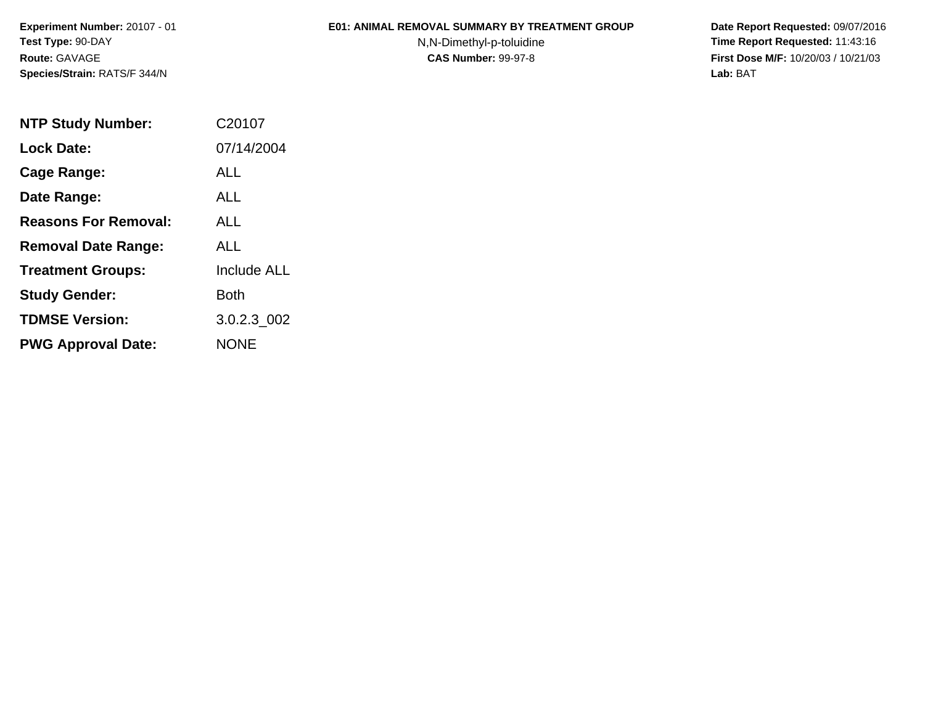**Experiment Number:** 20107 - 01**Test Type:** 90-DAY**Route:** GAVAGE**Species/Strain:** RATS/F 344/N

## **E01: ANIMAL REMOVAL SUMMARY BY TREATMENT GROUP**

N,N-Dimethyl-p-toluidine

 **Date Report Requested:** 09/07/2016 **Time Report Requested:** 11:43:16 **First Dose M/F:** 10/20/03 / 10/21/03<br>**Lab:** BAT **Lab:** BAT

| <b>NTP Study Number:</b>    | C20107             |
|-----------------------------|--------------------|
| <b>Lock Date:</b>           | 07/14/2004         |
| Cage Range:                 | ALL                |
| Date Range:                 | ALL                |
| <b>Reasons For Removal:</b> | ALL.               |
| <b>Removal Date Range:</b>  | ALL                |
| <b>Treatment Groups:</b>    | <b>Include ALL</b> |
| <b>Study Gender:</b>        | Both               |
| <b>TDMSE Version:</b>       | 3.0.2.3 002        |
| <b>PWG Approval Date:</b>   | NONE               |